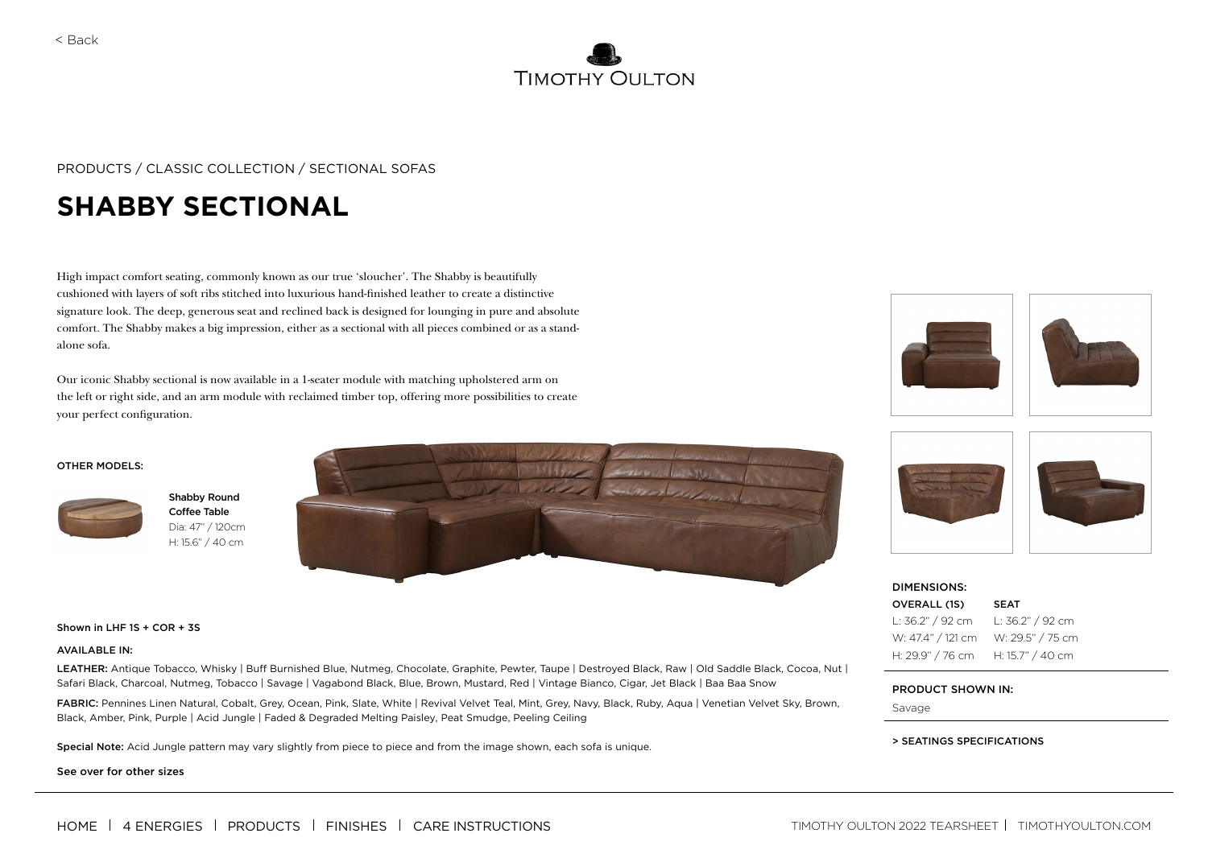

## PRODUCTS / CLASSIC COLLECTION / SECTIONAL SOFAS

# **SHABBY SECTIONAL**

High impact comfort seating, commonly known as our true 'sloucher'. The Shabby is beautifully cushioned with layers of soft ribs stitched into luxurious hand-finished leather to create a distinctive signature look. The deep, generous seat and reclined back is designed for lounging in pure and absolute comfort. The Shabby makes a big impression, either as a sectional with all pieces combined or as a standalone sofa.

Our iconic Shabby sectional is now available in a 1-seater module with matching upholstered arm on the left or right side, and an arm module with reclaimed timber top, offering more possibilities to create your perfect configuration.





Shabby Round Coffee Table Dia: 47" / 120cm H: 15.6" / 40 cm





#### AVAILABLE IN:

LEATHER: Antique Tobacco, Whisky | Buff Burnished Blue, Nutmeg, Chocolate, Graphite, Pewter, Taupe | Destroyed Black, Raw | Old Saddle Black, Cocoa, Nut | Safari Black, Charcoal, Nutmeg, Tobacco | Savage | Vagabond Black, Blue, Brown, Mustard, Red | Vintage Bianco, Cigar, Jet Black | Baa Baa Snow

FABRIC: Pennines Linen Natural, Cobalt, Grey, Ocean, Pink, Slate, White | Revival Velvet Teal, Mint, Grey, Navy, Black, Ruby, Aqua | Venetian Velvet Sky, Brown, Black, Amber, Pink, Purple | Acid Jungle | Faded & Degraded Melting Paisley, Peat Smudge, Peeling Ceiling

Special Note: Acid Jungle pattern may vary slightly from piece to piece and from the image shown, each sofa is unique.

See over for other sizes





| <b>DIMENSIONS:</b> |                  |
|--------------------|------------------|
| OVERALL (1S)       | <b>SEAT</b>      |
| L: 36.2" / 92 cm   | L: 36.2" / 92 cm |
| W: 47.4" / 121 cm  | W: 29.5" / 75 cm |
| H: 29.9" / 76 cm   | H: 15.7" / 40 cm |

#### PRODUCT SHOWN IN:

Savage

### > SEATINGS SPECIFICATIONS